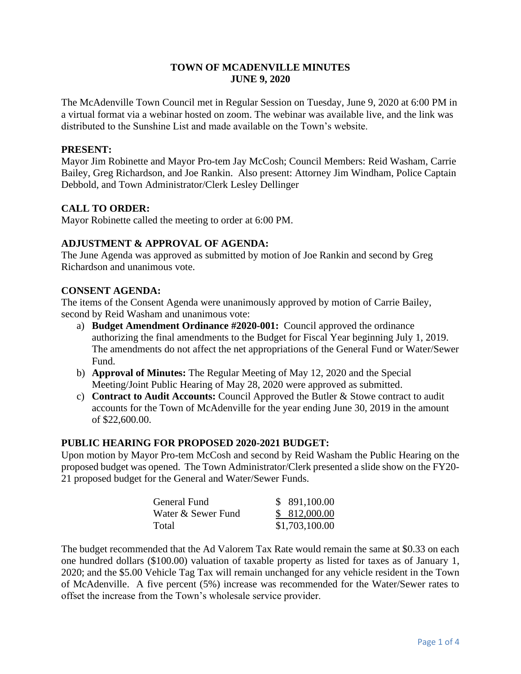## **TOWN OF MCADENVILLE MINUTES JUNE 9, 2020**

The McAdenville Town Council met in Regular Session on Tuesday, June 9, 2020 at 6:00 PM in a virtual format via a webinar hosted on zoom. The webinar was available live, and the link was distributed to the Sunshine List and made available on the Town's website.

#### **PRESENT:**

Mayor Jim Robinette and Mayor Pro-tem Jay McCosh; Council Members: Reid Washam, Carrie Bailey, Greg Richardson, and Joe Rankin. Also present: Attorney Jim Windham, Police Captain Debbold, and Town Administrator/Clerk Lesley Dellinger

# **CALL TO ORDER:**

Mayor Robinette called the meeting to order at 6:00 PM.

## **ADJUSTMENT & APPROVAL OF AGENDA:**

The June Agenda was approved as submitted by motion of Joe Rankin and second by Greg Richardson and unanimous vote.

#### **CONSENT AGENDA:**

The items of the Consent Agenda were unanimously approved by motion of Carrie Bailey, second by Reid Washam and unanimous vote:

- a) **Budget Amendment Ordinance #2020-001:** Council approved the ordinance authorizing the final amendments to the Budget for Fiscal Year beginning July 1, 2019. The amendments do not affect the net appropriations of the General Fund or Water/Sewer Fund.
- b) **Approval of Minutes:** The Regular Meeting of May 12, 2020 and the Special Meeting/Joint Public Hearing of May 28, 2020 were approved as submitted.
- c) **Contract to Audit Accounts:** Council Approved the Butler & Stowe contract to audit accounts for the Town of McAdenville for the year ending June 30, 2019 in the amount of \$22,600.00.

#### **PUBLIC HEARING FOR PROPOSED 2020-2021 BUDGET:**

Upon motion by Mayor Pro-tem McCosh and second by Reid Washam the Public Hearing on the proposed budget was opened. The Town Administrator/Clerk presented a slide show on the FY20- 21 proposed budget for the General and Water/Sewer Funds.

| General Fund       | \$ 891,100.00  |
|--------------------|----------------|
| Water & Sewer Fund | \$812,000.00   |
| Total              | \$1,703,100.00 |

The budget recommended that the Ad Valorem Tax Rate would remain the same at \$0.33 on each one hundred dollars (\$100.00) valuation of taxable property as listed for taxes as of January 1, 2020; and the \$5.00 Vehicle Tag Tax will remain unchanged for any vehicle resident in the Town of McAdenville. A five percent (5%) increase was recommended for the Water/Sewer rates to offset the increase from the Town's wholesale service provider.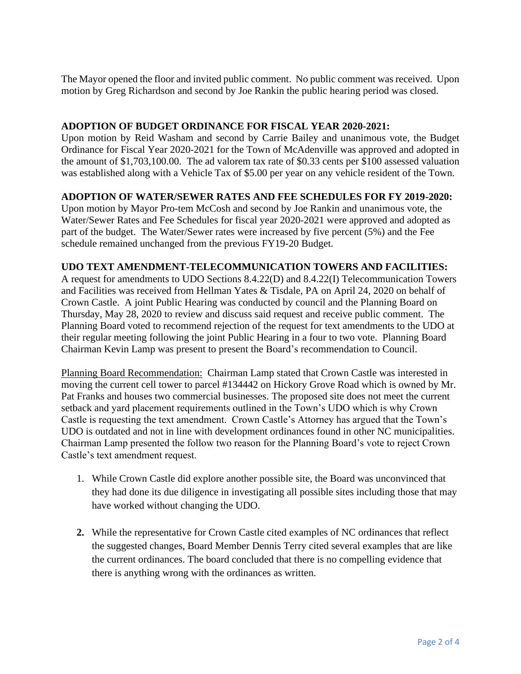The Mayor opened the floor and invited public comment. No public comment was received. Upon motion by Greg Richardson and second by Joe Rankin the public hearing period was closed.

## **ADOPTION OF BUDGET ORDINANCE FOR FISCAL YEAR 2020-2021:**

Upon motion by Reid Washam and second by Carrie Bailey and unanimous vote, the Budget Ordinance for Fiscal Year 2020-2021 for the Town of McAdenville was approved and adopted in the amount of \$1,703,100.00. The ad valorem tax rate of \$0.33 cents per \$100 assessed valuation was established along with a Vehicle Tax of \$5.00 per year on any vehicle resident of the Town.

## **ADOPTION OF WATER/SEWER RATES AND FEE SCHEDULES FOR FY 2019-2020:**

Upon motion by Mayor Pro-tem McCosh and second by Joe Rankin and unanimous vote, the Water/Sewer Rates and Fee Schedules for fiscal year 2020-2021 were approved and adopted as part of the budget. The Water/Sewer rates were increased by five percent (5%) and the Fee schedule remained unchanged from the previous FY19-20 Budget.

#### **UDO TEXT AMENDMENT-TELECOMMUNICATION TOWERS AND FACILITIES:**

A request for amendments to UDO Sections 8.4.22(D) and 8.4.22(I) Telecommunication Towers and Facilities was received from Hellman Yates & Tisdale, PA on April 24, 2020 on behalf of Crown Castle. A joint Public Hearing was conducted by council and the Planning Board on Thursday, May 28, 2020 to review and discuss said request and receive public comment. The Planning Board voted to recommend rejection of the request for text amendments to the UDO at their regular meeting following the joint Public Hearing in a four to two vote. Planning Board Chairman Kevin Lamp was present to present the Board's recommendation to Council.

Planning Board Recommendation: Chairman Lamp stated that Crown Castle was interested in moving the current cell tower to parcel #134442 on Hickory Grove Road which is owned by Mr. Pat Franks and houses two commercial businesses. The proposed site does not meet the current setback and yard placement requirements outlined in the Town's UDO which is why Crown Castle is requesting the text amendment. Crown Castle's Attorney has argued that the Town's UDO is outdated and not in line with development ordinances found in other NC municipalities. Chairman Lamp presented the follow two reason for the Planning Board's vote to reject Crown Castle's text amendment request.

- 1. While Crown Castle did explore another possible site, the Board was unconvinced that they had done its due diligence in investigating all possible sites including those that may have worked without changing the UDO.
- **2.** While the representative for Crown Castle cited examples of NC ordinances that reflect the suggested changes, Board Member Dennis Terry cited several examples that are like the current ordinances. The board concluded that there is no compelling evidence that there is anything wrong with the ordinances as written.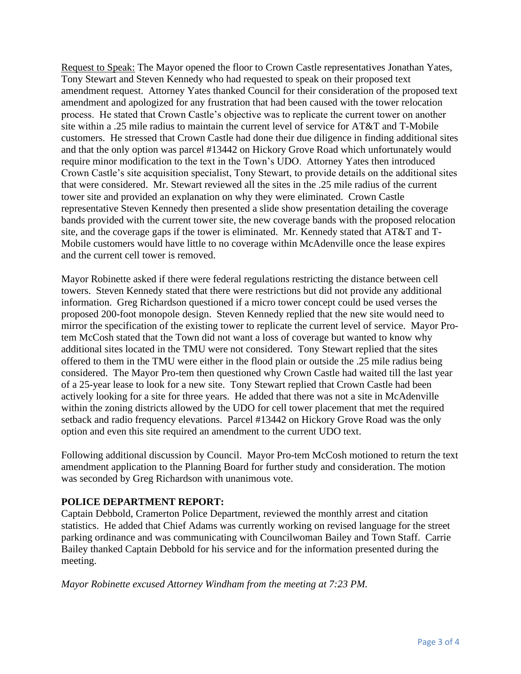Request to Speak: The Mayor opened the floor to Crown Castle representatives Jonathan Yates, Tony Stewart and Steven Kennedy who had requested to speak on their proposed text amendment request. Attorney Yates thanked Council for their consideration of the proposed text amendment and apologized for any frustration that had been caused with the tower relocation process. He stated that Crown Castle's objective was to replicate the current tower on another site within a .25 mile radius to maintain the current level of service for AT&T and T-Mobile customers. He stressed that Crown Castle had done their due diligence in finding additional sites and that the only option was parcel #13442 on Hickory Grove Road which unfortunately would require minor modification to the text in the Town's UDO. Attorney Yates then introduced Crown Castle's site acquisition specialist, Tony Stewart, to provide details on the additional sites that were considered. Mr. Stewart reviewed all the sites in the .25 mile radius of the current tower site and provided an explanation on why they were eliminated. Crown Castle representative Steven Kennedy then presented a slide show presentation detailing the coverage bands provided with the current tower site, the new coverage bands with the proposed relocation site, and the coverage gaps if the tower is eliminated. Mr. Kennedy stated that AT&T and T-Mobile customers would have little to no coverage within McAdenville once the lease expires and the current cell tower is removed.

Mayor Robinette asked if there were federal regulations restricting the distance between cell towers. Steven Kennedy stated that there were restrictions but did not provide any additional information. Greg Richardson questioned if a micro tower concept could be used verses the proposed 200-foot monopole design. Steven Kennedy replied that the new site would need to mirror the specification of the existing tower to replicate the current level of service. Mayor Protem McCosh stated that the Town did not want a loss of coverage but wanted to know why additional sites located in the TMU were not considered. Tony Stewart replied that the sites offered to them in the TMU were either in the flood plain or outside the .25 mile radius being considered. The Mayor Pro-tem then questioned why Crown Castle had waited till the last year of a 25-year lease to look for a new site. Tony Stewart replied that Crown Castle had been actively looking for a site for three years. He added that there was not a site in McAdenville within the zoning districts allowed by the UDO for cell tower placement that met the required setback and radio frequency elevations. Parcel #13442 on Hickory Grove Road was the only option and even this site required an amendment to the current UDO text.

Following additional discussion by Council. Mayor Pro-tem McCosh motioned to return the text amendment application to the Planning Board for further study and consideration. The motion was seconded by Greg Richardson with unanimous vote.

# **POLICE DEPARTMENT REPORT:**

Captain Debbold, Cramerton Police Department, reviewed the monthly arrest and citation statistics. He added that Chief Adams was currently working on revised language for the street parking ordinance and was communicating with Councilwoman Bailey and Town Staff. Carrie Bailey thanked Captain Debbold for his service and for the information presented during the meeting.

*Mayor Robinette excused Attorney Windham from the meeting at 7:23 PM.*